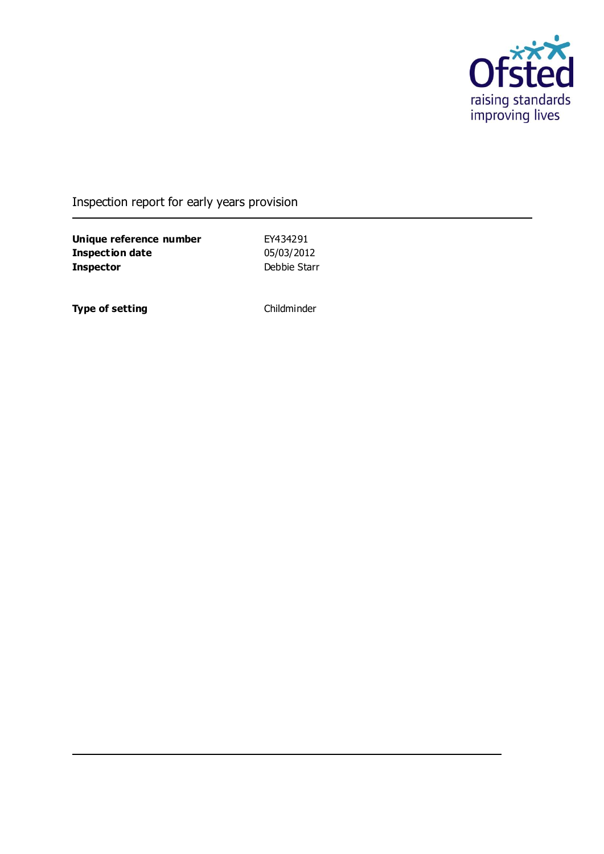

## Inspection report for early years provision

**Unique reference number** EY434291<br> **Inspection date** 05/03/2012 **Inspection date Inspector** Debbie Starr

**Type of setting** Childminder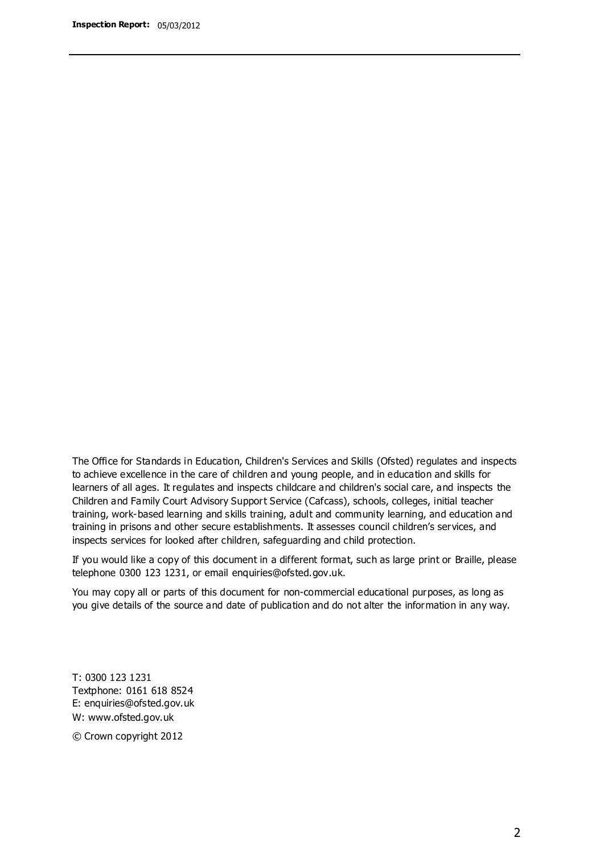The Office for Standards in Education, Children's Services and Skills (Ofsted) regulates and inspects to achieve excellence in the care of children and young people, and in education and skills for learners of all ages. It regulates and inspects childcare and children's social care, and inspects the Children and Family Court Advisory Support Service (Cafcass), schools, colleges, initial teacher training, work-based learning and skills training, adult and community learning, and education and training in prisons and other secure establishments. It assesses council children's services, and inspects services for looked after children, safeguarding and child protection.

If you would like a copy of this document in a different format, such as large print or Braille, please telephone 0300 123 1231, or email enquiries@ofsted.gov.uk.

You may copy all or parts of this document for non-commercial educational purposes, as long as you give details of the source and date of publication and do not alter the information in any way.

T: 0300 123 1231 Textphone: 0161 618 8524 E: enquiries@ofsted.gov.uk W: [www.ofsted.gov.uk](http://www.ofsted.gov.uk/)

© Crown copyright 2012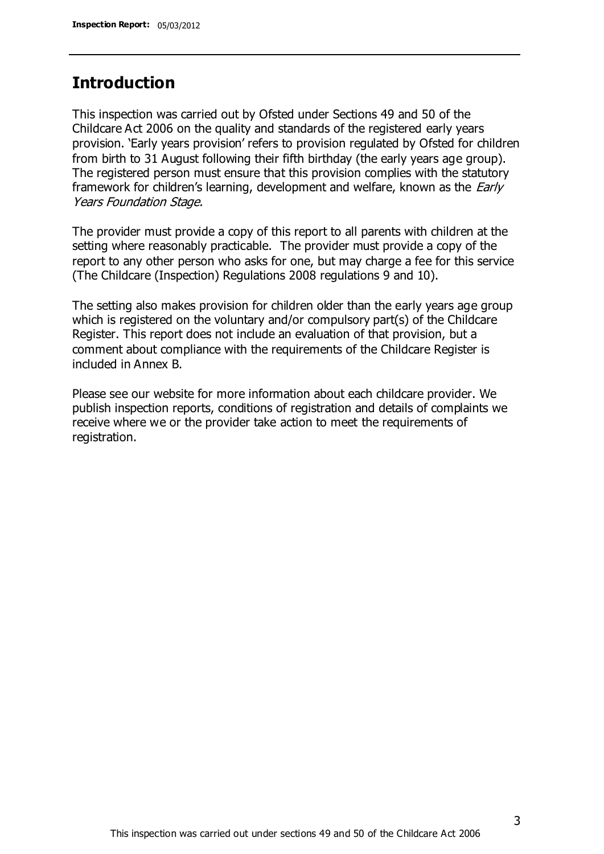### **Introduction**

This inspection was carried out by Ofsted under Sections 49 and 50 of the Childcare Act 2006 on the quality and standards of the registered early years provision. 'Early years provision' refers to provision regulated by Ofsted for children from birth to 31 August following their fifth birthday (the early years age group). The registered person must ensure that this provision complies with the statutory framework for children's learning, development and welfare, known as the *Early* Years Foundation Stage.

The provider must provide a copy of this report to all parents with children at the setting where reasonably practicable. The provider must provide a copy of the report to any other person who asks for one, but may charge a fee for this service (The Childcare (Inspection) Regulations 2008 regulations 9 and 10).

The setting also makes provision for children older than the early years age group which is registered on the voluntary and/or compulsory part(s) of the Childcare Register. This report does not include an evaluation of that provision, but a comment about compliance with the requirements of the Childcare Register is included in Annex B.

Please see our website for more information about each childcare provider. We publish inspection reports, conditions of registration and details of complaints we receive where we or the provider take action to meet the requirements of registration.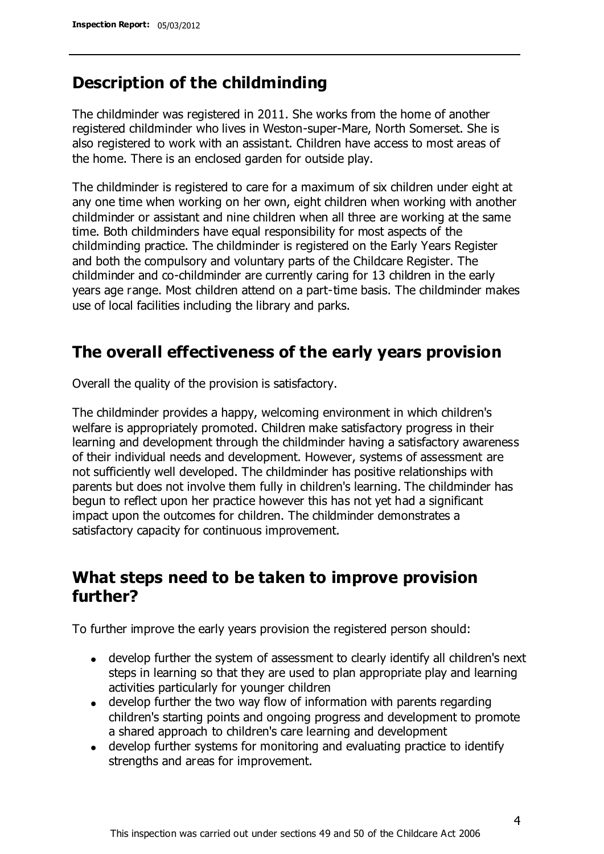## **Description of the childminding**

The childminder was registered in 2011. She works from the home of another registered childminder who lives in Weston-super-Mare, North Somerset. She is also registered to work with an assistant. Children have access to most areas of the home. There is an enclosed garden for outside play.

The childminder is registered to care for a maximum of six children under eight at any one time when working on her own, eight children when working with another childminder or assistant and nine children when all three are working at the same time. Both childminders have equal responsibility for most aspects of the childminding practice. The childminder is registered on the Early Years Register and both the compulsory and voluntary parts of the Childcare Register. The childminder and co-childminder are currently caring for 13 children in the early years age range. Most children attend on a part-time basis. The childminder makes use of local facilities including the library and parks.

# **The overall effectiveness of the early years provision**

Overall the quality of the provision is satisfactory.

The childminder provides a happy, welcoming environment in which children's welfare is appropriately promoted. Children make satisfactory progress in their learning and development through the childminder having a satisfactory awareness of their individual needs and development. However, systems of assessment are not sufficiently well developed. The childminder has positive relationships with parents but does not involve them fully in children's learning. The childminder has begun to reflect upon her practice however this has not yet had a significant impact upon the outcomes for children. The childminder demonstrates a satisfactory capacity for continuous improvement.

## **What steps need to be taken to improve provision further?**

To further improve the early years provision the registered person should:

- develop further the system of assessment to clearly identify all children's next steps in learning so that they are used to plan appropriate play and learning activities particularly for younger children
- develop further the two way flow of information with parents regarding children's starting points and ongoing progress and development to promote a shared approach to children's care learning and development
- develop further systems for monitoring and evaluating practice to identify strengths and areas for improvement.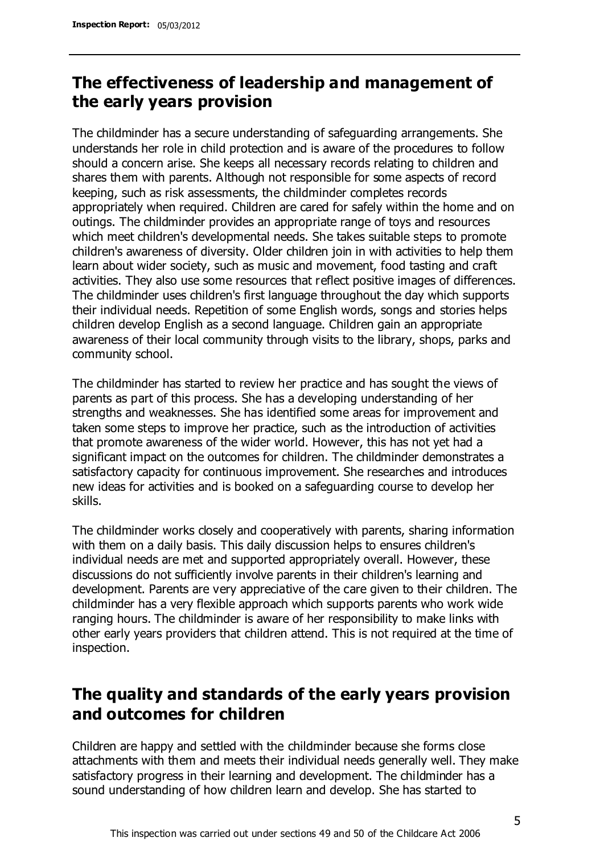# **The effectiveness of leadership and management of the early years provision**

The childminder has a secure understanding of safeguarding arrangements. She understands her role in child protection and is aware of the procedures to follow should a concern arise. She keeps all necessary records relating to children and shares them with parents. Although not responsible for some aspects of record keeping, such as risk assessments, the childminder completes records appropriately when required. Children are cared for safely within the home and on outings. The childminder provides an appropriate range of toys and resources which meet children's developmental needs. She takes suitable steps to promote children's awareness of diversity. Older children join in with activities to help them learn about wider society, such as music and movement, food tasting and craft activities. They also use some resources that reflect positive images of differences. The childminder uses children's first language throughout the day which supports their individual needs. Repetition of some English words, songs and stories helps children develop English as a second language. Children gain an appropriate awareness of their local community through visits to the library, shops, parks and community school.

The childminder has started to review her practice and has sought the views of parents as part of this process. She has a developing understanding of her strengths and weaknesses. She has identified some areas for improvement and taken some steps to improve her practice, such as the introduction of activities that promote awareness of the wider world. However, this has not yet had a significant impact on the outcomes for children. The childminder demonstrates a satisfactory capacity for continuous improvement. She researches and introduces new ideas for activities and is booked on a safeguarding course to develop her skills.

The childminder works closely and cooperatively with parents, sharing information with them on a daily basis. This daily discussion helps to ensures children's individual needs are met and supported appropriately overall. However, these discussions do not sufficiently involve parents in their children's learning and development. Parents are very appreciative of the care given to their children. The childminder has a very flexible approach which supports parents who work wide ranging hours. The childminder is aware of her responsibility to make links with other early years providers that children attend. This is not required at the time of inspection.

# **The quality and standards of the early years provision and outcomes for children**

Children are happy and settled with the childminder because she forms close attachments with them and meets their individual needs generally well. They make satisfactory progress in their learning and development. The childminder has a sound understanding of how children learn and develop. She has started to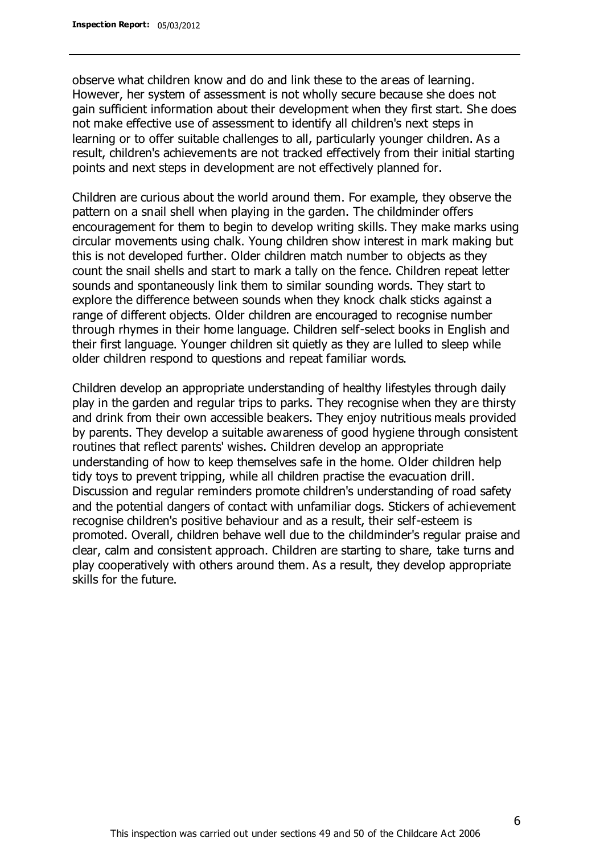observe what children know and do and link these to the areas of learning. However, her system of assessment is not wholly secure because she does not gain sufficient information about their development when they first start. She does not make effective use of assessment to identify all children's next steps in learning or to offer suitable challenges to all, particularly younger children. As a result, children's achievements are not tracked effectively from their initial starting points and next steps in development are not effectively planned for.

Children are curious about the world around them. For example, they observe the pattern on a snail shell when playing in the garden. The childminder offers encouragement for them to begin to develop writing skills. They make marks using circular movements using chalk. Young children show interest in mark making but this is not developed further. Older children match number to objects as they count the snail shells and start to mark a tally on the fence. Children repeat letter sounds and spontaneously link them to similar sounding words. They start to explore the difference between sounds when they knock chalk sticks against a range of different objects. Older children are encouraged to recognise number through rhymes in their home language. Children self-select books in English and their first language. Younger children sit quietly as they are lulled to sleep while older children respond to questions and repeat familiar words.

Children develop an appropriate understanding of healthy lifestyles through daily play in the garden and regular trips to parks. They recognise when they are thirsty and drink from their own accessible beakers. They enjoy nutritious meals provided by parents. They develop a suitable awareness of good hygiene through consistent routines that reflect parents' wishes. Children develop an appropriate understanding of how to keep themselves safe in the home. Older children help tidy toys to prevent tripping, while all children practise the evacuation drill. Discussion and regular reminders promote children's understanding of road safety and the potential dangers of contact with unfamiliar dogs. Stickers of achievement recognise children's positive behaviour and as a result, their self-esteem is promoted. Overall, children behave well due to the childminder's regular praise and clear, calm and consistent approach. Children are starting to share, take turns and play cooperatively with others around them. As a result, they develop appropriate skills for the future.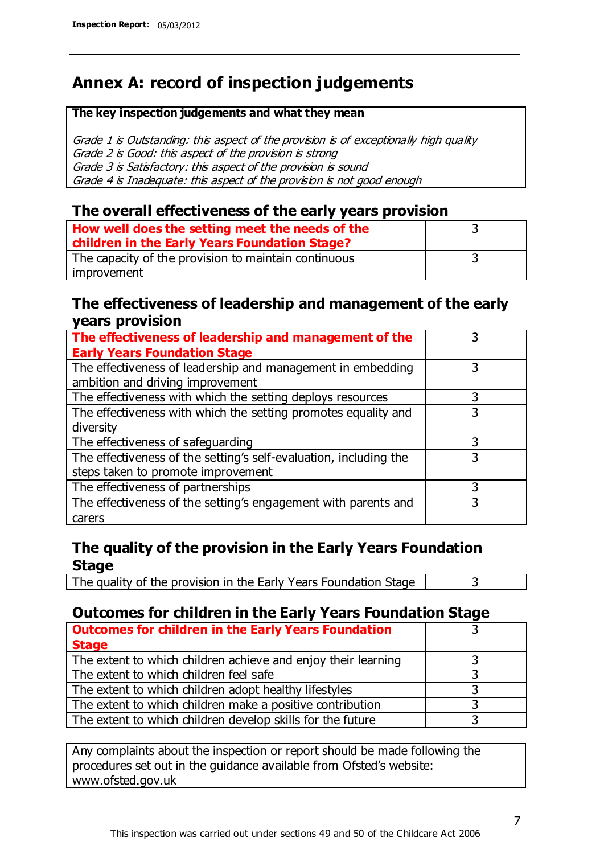# **Annex A: record of inspection judgements**

#### **The key inspection judgements and what they mean**

Grade 1 is Outstanding: this aspect of the provision is of exceptionally high quality Grade 2 is Good: this aspect of the provision is strong Grade 3 is Satisfactory: this aspect of the provision is sound Grade 4 is Inadequate: this aspect of the provision is not good enough

#### **The overall effectiveness of the early years provision**

| How well does the setting meet the needs of the      |  |
|------------------------------------------------------|--|
| children in the Early Years Foundation Stage?        |  |
| The capacity of the provision to maintain continuous |  |
| improvement                                          |  |

#### **The effectiveness of leadership and management of the early years provision**

| The effectiveness of leadership and management of the             |   |
|-------------------------------------------------------------------|---|
| <b>Early Years Foundation Stage</b>                               |   |
| The effectiveness of leadership and management in embedding       |   |
| ambition and driving improvement                                  |   |
| The effectiveness with which the setting deploys resources        |   |
| The effectiveness with which the setting promotes equality and    | 3 |
| diversity                                                         |   |
| The effectiveness of safeguarding                                 |   |
| The effectiveness of the setting's self-evaluation, including the | 3 |
| steps taken to promote improvement                                |   |
| The effectiveness of partnerships                                 | 3 |
| The effectiveness of the setting's engagement with parents and    |   |
| carers                                                            |   |

### **The quality of the provision in the Early Years Foundation Stage**

The quality of the provision in the Early Years Foundation Stage  $\vert$  3

### **Outcomes for children in the Early Years Foundation Stage**

| <b>Outcomes for children in the Early Years Foundation</b>    |  |
|---------------------------------------------------------------|--|
| <b>Stage</b>                                                  |  |
| The extent to which children achieve and enjoy their learning |  |
| The extent to which children feel safe                        |  |
| The extent to which children adopt healthy lifestyles         |  |
| The extent to which children make a positive contribution     |  |
| The extent to which children develop skills for the future    |  |

Any complaints about the inspection or report should be made following the procedures set out in the guidance available from Ofsted's website: www.ofsted.gov.uk